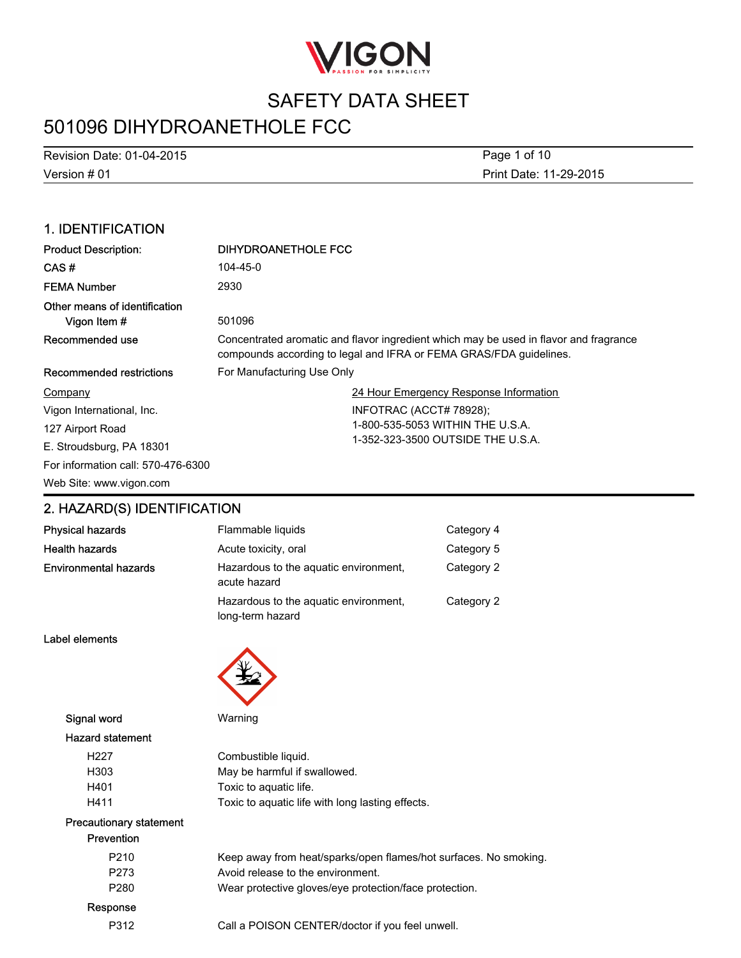

# 501096 DIHYDROANETHOLE FCC

Version # 01 Revision Date: 01-04-2015 Print Date: 11-29-2015 Page 1 of 10

### 1. IDENTIFICATION

| <b>Product Description:</b>                   | <b>DIHYDROANETHOLE FCC</b>                                                                                                                                  |
|-----------------------------------------------|-------------------------------------------------------------------------------------------------------------------------------------------------------------|
| CAS#                                          | 104-45-0                                                                                                                                                    |
| <b>FEMA Number</b>                            | 2930                                                                                                                                                        |
| Other means of identification<br>Vigon Item # | 501096                                                                                                                                                      |
| Recommended use                               | Concentrated aromatic and flavor ingredient which may be used in flavor and fragrance<br>compounds according to legal and IFRA or FEMA GRAS/FDA guidelines. |
| Recommended restrictions                      | For Manufacturing Use Only                                                                                                                                  |
| Company                                       | 24 Hour Emergency Response Information                                                                                                                      |
| Vigon International, Inc.                     | INFOTRAC (ACCT# 78928);                                                                                                                                     |
| 127 Airport Road                              | 1-800-535-5053 WITHIN THE U.S.A.                                                                                                                            |
| E. Stroudsburg, PA 18301                      | 1-352-323-3500 OUTSIDE THE U.S.A.                                                                                                                           |
| For information call: 570-476-6300            |                                                                                                                                                             |
| Web Site: www.vigon.com                       |                                                                                                                                                             |

### 2. HAZARD(S) IDENTIFICATION

| Physical hazards      | Flammable liquids                                         | Category 4 |
|-----------------------|-----------------------------------------------------------|------------|
| Health hazards        | Acute toxicity, oral                                      | Category 5 |
| Environmental hazards | Hazardous to the aguatic environment,<br>acute hazard     | Category 2 |
|                       | Hazardous to the aquatic environment.<br>long-term hazard | Category 2 |

Label elements



Signal word Warning

#### Hazard statement

| H <sub>22</sub> 7 | Combustible liquid.                              |
|-------------------|--------------------------------------------------|
| H303              | May be harmful if swallowed.                     |
| H401              | Toxic to aquatic life.                           |
| H411              | Toxic to aquatic life with long lasting effects. |

#### Precautionary statement Prevention

| .                |                                                                  |
|------------------|------------------------------------------------------------------|
| P <sub>210</sub> | Keep away from heat/sparks/open flames/hot surfaces. No smoking. |
| P273             | Avoid release to the environment.                                |
| P <sub>280</sub> | Wear protective gloves/eye protection/face protection.           |
| Response         |                                                                  |
| P312             | Call a POISON CENTER/doctor if you feel unwell.                  |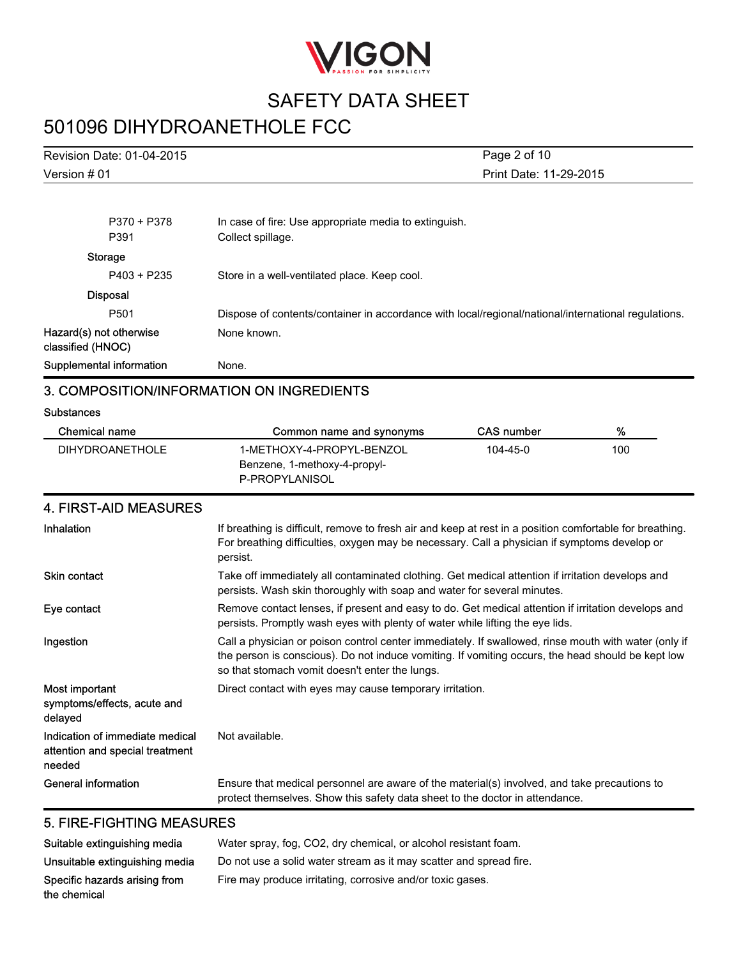

# 501096 DIHYDROANETHOLE FCC

| Revision Date: 01-04-2015 |                                                       | Page 2 of 10           |
|---------------------------|-------------------------------------------------------|------------------------|
| Version # 01              |                                                       | Print Date: 11-29-2015 |
|                           |                                                       |                        |
| P370 + P378               | In case of fire: Use appropriate media to extinguish. |                        |
| P391                      | Collect spillage.                                     |                        |
| Storage                   |                                                       |                        |
| $P403 + P235$             | Store in a well-ventilated place. Keep cool.          |                        |
| <b>Disposal</b>           |                                                       |                        |

P501 Dispose of contents/container in accordance with local/regional/national/international regulations. Hazard(s) not otherwise classified (HNOC) None known.

Supplemental information Mone.

#### 3. COMPOSITION/INFORMATION ON INGREDIENTS

#### **Substances**

| Chemical name          | Common name and synonyms                                                    | <b>CAS number</b> | %   |
|------------------------|-----------------------------------------------------------------------------|-------------------|-----|
| <b>DIHYDROANETHOLE</b> | 1-METHOXY-4-PROPYL-BENZOL<br>Benzene, 1-methoxy-4-propyl-<br>P-PROPYLANISOL | $104 - 45 - 0$    | 100 |

### 4. FIRST-AID MEASURES

| Inhalation                                                                   | If breathing is difficult, remove to fresh air and keep at rest in a position comfortable for breathing.<br>For breathing difficulties, oxygen may be necessary. Call a physician if symptoms develop or<br>persist.                                        |
|------------------------------------------------------------------------------|-------------------------------------------------------------------------------------------------------------------------------------------------------------------------------------------------------------------------------------------------------------|
| <b>Skin contact</b>                                                          | Take off immediately all contaminated clothing. Get medical attention if irritation develops and<br>persists. Wash skin thoroughly with soap and water for several minutes.                                                                                 |
| Eye contact                                                                  | Remove contact lenses, if present and easy to do. Get medical attention if irritation develops and<br>persists. Promptly wash eyes with plenty of water while lifting the eye lids.                                                                         |
| Ingestion                                                                    | Call a physician or poison control center immediately. If swallowed, rinse mouth with water (only if<br>the person is conscious). Do not induce vomiting. If vomiting occurs, the head should be kept low<br>so that stomach vomit doesn't enter the lungs. |
| Most important<br>symptoms/effects, acute and<br>delayed                     | Direct contact with eyes may cause temporary irritation.                                                                                                                                                                                                    |
| Indication of immediate medical<br>attention and special treatment<br>needed | Not available.                                                                                                                                                                                                                                              |
| General information                                                          | Ensure that medical personnel are aware of the material(s) involved, and take precautions to<br>protect themselves. Show this safety data sheet to the doctor in attendance.                                                                                |

### 5. FIRE-FIGHTING MEASURES

| Suitable extinguishing media   | Water spray, fog, CO2, dry chemical, or alcohol resistant foam.    |
|--------------------------------|--------------------------------------------------------------------|
| Unsuitable extinguishing media | Do not use a solid water stream as it may scatter and spread fire. |
| Specific hazards arising from  | Fire may produce irritating, corrosive and/or toxic gases.         |
| the chemical                   |                                                                    |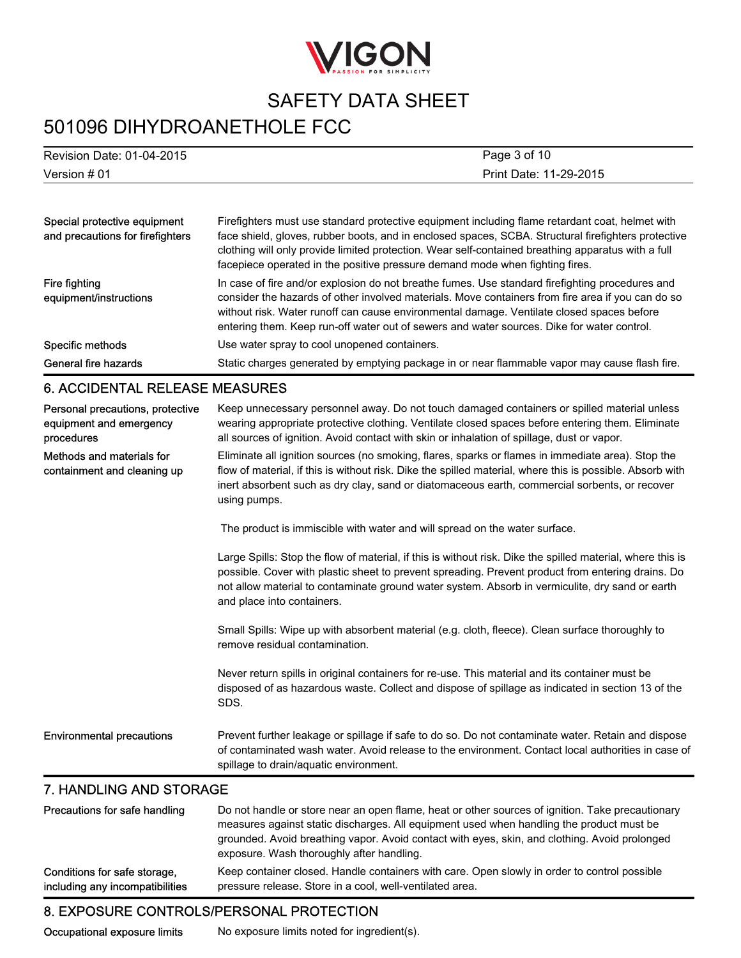

# 501096 DIHYDROANETHOLE FCC

| Version # 01           | Page 3 of 10              |
|------------------------|---------------------------|
| Print Date: 11-29-2015 | Revision Date: 01-04-2015 |
|                        |                           |

| Special protective equipment<br>and precautions for firefighters | Firefighters must use standard protective equipment including flame retardant coat, helmet with<br>face shield, gloves, rubber boots, and in enclosed spaces, SCBA. Structural firefighters protective<br>clothing will only provide limited protection. Wear self-contained breathing apparatus with a full<br>facepiece operated in the positive pressure demand mode when fighting fires.    |
|------------------------------------------------------------------|-------------------------------------------------------------------------------------------------------------------------------------------------------------------------------------------------------------------------------------------------------------------------------------------------------------------------------------------------------------------------------------------------|
| Fire fighting<br>equipment/instructions                          | In case of fire and/or explosion do not breathe fumes. Use standard firefighting procedures and<br>consider the hazards of other involved materials. Move containers from fire area if you can do so<br>without risk. Water runoff can cause environmental damage. Ventilate closed spaces before<br>entering them. Keep run-off water out of sewers and water sources. Dike for water control. |
| Specific methods                                                 | Use water spray to cool unopened containers.                                                                                                                                                                                                                                                                                                                                                    |
| General fire hazards                                             | Static charges generated by emptying package in or near flammable vapor may cause flash fire.                                                                                                                                                                                                                                                                                                   |

#### 6. ACCIDENTAL RELEASE MEASURES

| Personal precautions, protective<br>equipment and emergency<br>procedures | Keep unnecessary personnel away. Do not touch damaged containers or spilled material unless<br>wearing appropriate protective clothing. Ventilate closed spaces before entering them. Eliminate<br>all sources of ignition. Avoid contact with skin or inhalation of spillage, dust or vapor.                                                    |
|---------------------------------------------------------------------------|--------------------------------------------------------------------------------------------------------------------------------------------------------------------------------------------------------------------------------------------------------------------------------------------------------------------------------------------------|
| Methods and materials for<br>containment and cleaning up                  | Eliminate all ignition sources (no smoking, flares, sparks or flames in immediate area). Stop the<br>flow of material, if this is without risk. Dike the spilled material, where this is possible. Absorb with<br>inert absorbent such as dry clay, sand or diatomaceous earth, commercial sorbents, or recover<br>using pumps.                  |
|                                                                           | The product is immiscible with water and will spread on the water surface.                                                                                                                                                                                                                                                                       |
|                                                                           | Large Spills: Stop the flow of material, if this is without risk. Dike the spilled material, where this is<br>possible. Cover with plastic sheet to prevent spreading. Prevent product from entering drains. Do<br>not allow material to contaminate ground water system. Absorb in vermiculite, dry sand or earth<br>and place into containers. |
|                                                                           | Small Spills: Wipe up with absorbent material (e.g. cloth, fleece). Clean surface thoroughly to<br>remove residual contamination.                                                                                                                                                                                                                |
|                                                                           | Never return spills in original containers for re-use. This material and its container must be<br>disposed of as hazardous waste. Collect and dispose of spillage as indicated in section 13 of the<br>SDS.                                                                                                                                      |
| <b>Environmental precautions</b>                                          | Prevent further leakage or spillage if safe to do so. Do not contaminate water. Retain and dispose<br>of contaminated wash water. Avoid release to the environment. Contact local authorities in case of<br>spillage to drain/aquatic environment.                                                                                               |
|                                                                           |                                                                                                                                                                                                                                                                                                                                                  |

#### 7. HANDLING AND STORAGE

| Precautions for safe handling   | Do not handle or store near an open flame, heat or other sources of ignition. Take precautionary<br>measures against static discharges. All equipment used when handling the product must be<br>grounded. Avoid breathing vapor. Avoid contact with eyes, skin, and clothing. Avoid prolonged<br>exposure. Wash thoroughly after handling. |
|---------------------------------|--------------------------------------------------------------------------------------------------------------------------------------------------------------------------------------------------------------------------------------------------------------------------------------------------------------------------------------------|
| Conditions for safe storage,    | Keep container closed. Handle containers with care. Open slowly in order to control possible                                                                                                                                                                                                                                               |
| including any incompatibilities | pressure release. Store in a cool, well-ventilated area.                                                                                                                                                                                                                                                                                   |

### 8. EXPOSURE CONTROLS/PERSONAL PROTECTION

Occupational exposure limits No exposure limits noted for ingredient(s).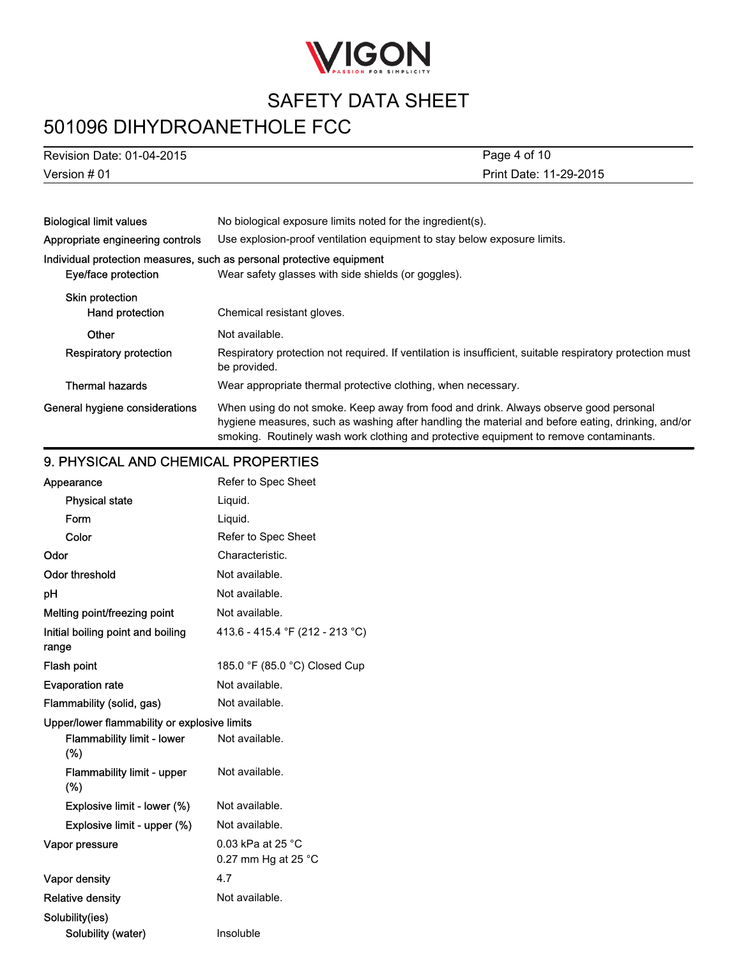

# 501096 DIHYDROANETHOLE FCC

| Revision Date: 01-04-2015 |
|---------------------------|
| Version # 01              |

Print Date: 11-29-2015 Page 4 of 10

| <b>Biological limit values</b>                                        | No biological exposure limits noted for the ingredient(s).                                                                                                                                                                                                                          |
|-----------------------------------------------------------------------|-------------------------------------------------------------------------------------------------------------------------------------------------------------------------------------------------------------------------------------------------------------------------------------|
| Appropriate engineering controls                                      | Use explosion-proof ventilation equipment to stay below exposure limits.                                                                                                                                                                                                            |
| Individual protection measures, such as personal protective equipment |                                                                                                                                                                                                                                                                                     |
| Eye/face protection                                                   | Wear safety glasses with side shields (or goggles).                                                                                                                                                                                                                                 |
| <b>Skin protection</b><br>Hand protection                             | Chemical resistant gloves.                                                                                                                                                                                                                                                          |
| Other                                                                 | Not available.                                                                                                                                                                                                                                                                      |
| <b>Respiratory protection</b>                                         | Respiratory protection not required. If ventilation is insufficient, suitable respiratory protection must<br>be provided.                                                                                                                                                           |
| <b>Thermal hazards</b>                                                | Wear appropriate thermal protective clothing, when necessary.                                                                                                                                                                                                                       |
| General hygiene considerations                                        | When using do not smoke. Keep away from food and drink. Always observe good personal<br>hygiene measures, such as washing after handling the material and before eating, drinking, and/or<br>smoking. Routinely wash work clothing and protective equipment to remove contaminants. |

### 9. PHYSICAL AND CHEMICAL PROPERTIES

| Appearance                                   | Refer to Spec Sheet                                   |
|----------------------------------------------|-------------------------------------------------------|
| <b>Physical state</b>                        | Liquid.                                               |
| Form                                         | Liquid.                                               |
| Color                                        | Refer to Spec Sheet                                   |
| Odor                                         | Characteristic.                                       |
| <b>Odor threshold</b>                        | Not available.                                        |
| рH                                           | Not available.                                        |
| Melting point/freezing point                 | Not available.                                        |
| Initial boiling point and boiling<br>range   | 413.6 - 415.4 °F (212 - 213 °C)                       |
| Flash point                                  | 185.0 °F (85.0 °C) Closed Cup                         |
| <b>Evaporation rate</b>                      | Not available.                                        |
| Flammability (solid, gas)                    | Not available.                                        |
| Upper/lower flammability or explosive limits |                                                       |
| <b>Flammability limit - lower</b><br>(%)     | Not available.                                        |
| <b>Flammability limit - upper</b><br>(%)     | Not available.                                        |
| Explosive limit - lower (%)                  | Not available.                                        |
| Explosive limit - upper (%)                  | Not available.                                        |
| Vapor pressure                               | $0.03$ kPa at 25 °C.<br>0.27 mm Hg at 25 $^{\circ}$ C |
| Vapor density                                | 4.7                                                   |
| <b>Relative density</b>                      | Not available.                                        |
| Solubility(ies)                              |                                                       |
| Solubility (water)                           | Insoluble                                             |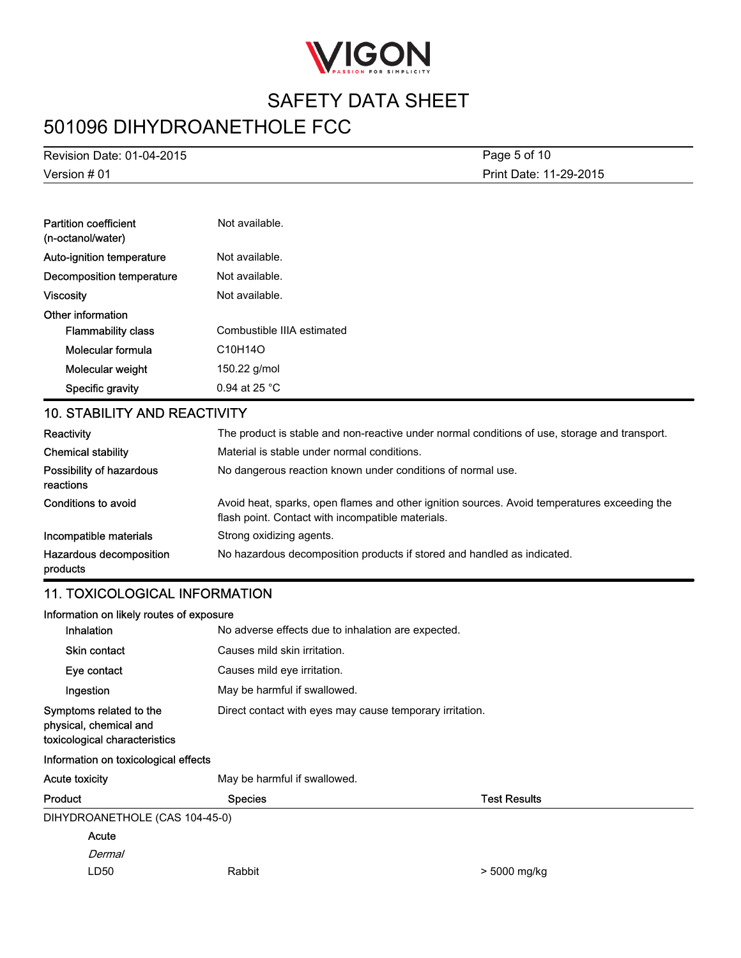

# 501096 DIHYDROANETHOLE FCC

Version # 01 Revision Date: 01-04-2015 Print Date: 11-29-2015 Page 5 of 10

| <b>Partition coefficient</b><br>(n-octanol/water) | Not available.                    |
|---------------------------------------------------|-----------------------------------|
| Auto-ignition temperature                         | Not available.                    |
| Decomposition temperature                         | Not available.                    |
| Viscosity                                         | Not available.                    |
| Other information                                 |                                   |
| <b>Flammability class</b>                         | Combustible IIIA estimated        |
| Molecular formula                                 | C <sub>10</sub> H <sub>14</sub> O |
| Molecular weight                                  | 150.22 g/mol                      |
| Specific gravity                                  | $0.94$ at 25 °C                   |

#### 10. STABILITY AND REACTIVITY

| Reactivity                            | The product is stable and non-reactive under normal conditions of use, storage and transport.                                                     |  |  |
|---------------------------------------|---------------------------------------------------------------------------------------------------------------------------------------------------|--|--|
| <b>Chemical stability</b>             | Material is stable under normal conditions.                                                                                                       |  |  |
| Possibility of hazardous<br>reactions | No dangerous reaction known under conditions of normal use.                                                                                       |  |  |
| Conditions to avoid                   | Avoid heat, sparks, open flames and other ignition sources. Avoid temperatures exceeding the<br>flash point. Contact with incompatible materials. |  |  |
| Incompatible materials                | Strong oxidizing agents.                                                                                                                          |  |  |
| Hazardous decomposition<br>products   | No hazardous decomposition products if stored and handled as indicated.                                                                           |  |  |

#### 11. TOXICOLOGICAL INFORMATION

| Information on likely routes of exposure                                           |                                                          |                     |  |
|------------------------------------------------------------------------------------|----------------------------------------------------------|---------------------|--|
| <b>Inhalation</b>                                                                  | No adverse effects due to inhalation are expected.       |                     |  |
| <b>Skin contact</b>                                                                | Causes mild skin irritation.                             |                     |  |
| Eye contact                                                                        | Causes mild eye irritation.                              |                     |  |
| Ingestion                                                                          | May be harmful if swallowed.                             |                     |  |
| Symptoms related to the<br>physical, chemical and<br>toxicological characteristics | Direct contact with eyes may cause temporary irritation. |                     |  |
| Information on toxicological effects                                               |                                                          |                     |  |
| Acute toxicity                                                                     | May be harmful if swallowed.                             |                     |  |
| Product                                                                            | <b>Species</b>                                           | <b>Test Results</b> |  |
| DIHYDROANETHOLE (CAS 104-45-0)                                                     |                                                          |                     |  |
| Acute                                                                              |                                                          |                     |  |
| Dermal                                                                             |                                                          |                     |  |
| LD50                                                                               | Rabbit                                                   | > 5000 mg/kg        |  |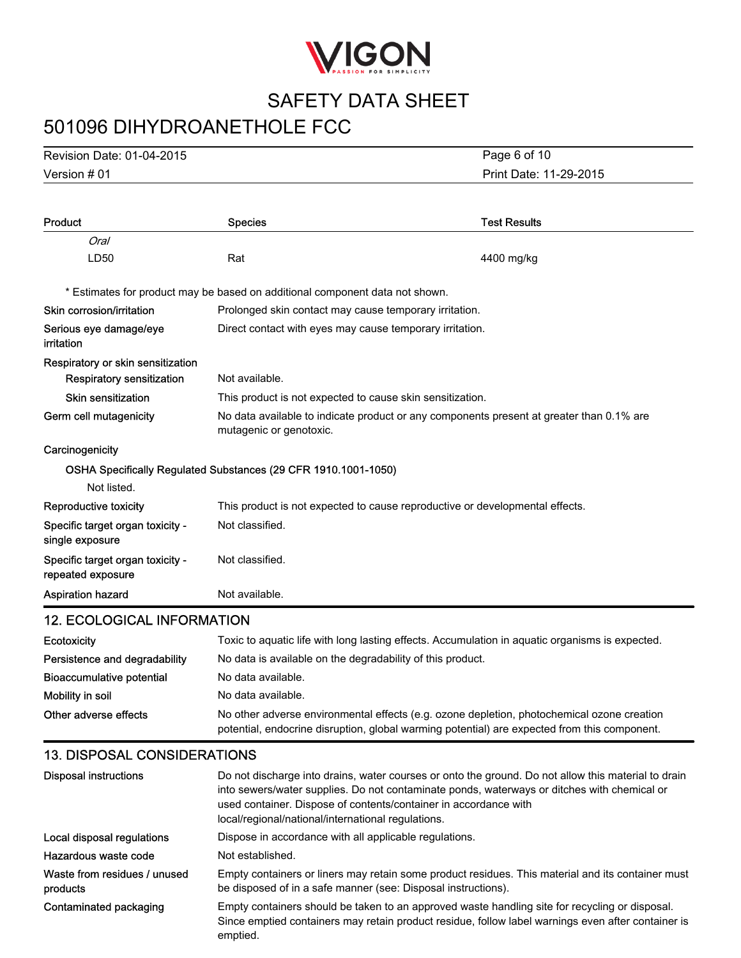

# 501096 DIHYDROANETHOLE FCC

Version # 01 Revision Date: 01-04-2015 Print Date: 11-29-2015 Page 6 of 10

| Product                                                        | <b>Species</b>                                                                                                      | <b>Test Results</b> |
|----------------------------------------------------------------|---------------------------------------------------------------------------------------------------------------------|---------------------|
| Oral                                                           |                                                                                                                     |                     |
| LD50                                                           | Rat                                                                                                                 | 4400 mg/kg          |
|                                                                | * Estimates for product may be based on additional component data not shown.                                        |                     |
| Skin corrosion/irritation                                      | Prolonged skin contact may cause temporary irritation.                                                              |                     |
| Serious eye damage/eye<br>irritation                           | Direct contact with eyes may cause temporary irritation.                                                            |                     |
| Respiratory or skin sensitization<br>Respiratory sensitization | Not available.                                                                                                      |                     |
| <b>Skin sensitization</b>                                      | This product is not expected to cause skin sensitization.                                                           |                     |
| Germ cell mutagenicity                                         | No data available to indicate product or any components present at greater than 0.1% are<br>mutagenic or genotoxic. |                     |
| Carcinogenicity                                                |                                                                                                                     |                     |
|                                                                | OSHA Specifically Regulated Substances (29 CFR 1910.1001-1050)                                                      |                     |
| Not listed.                                                    |                                                                                                                     |                     |
| <b>Reproductive toxicity</b>                                   | This product is not expected to cause reproductive or developmental effects.                                        |                     |
| Specific target organ toxicity -<br>single exposure            | Not classified.                                                                                                     |                     |
| Specific target organ toxicity -<br>repeated exposure          | Not classified.                                                                                                     |                     |
| <b>Aspiration hazard</b>                                       | Not available.                                                                                                      |                     |
| <b>12. ECOLOGICAL INFORMATION</b>                              |                                                                                                                     |                     |

| Ecotoxicity                   | Toxic to aquatic life with long lasting effects. Accumulation in aquatic organisms is expected.                                                                                            |  |
|-------------------------------|--------------------------------------------------------------------------------------------------------------------------------------------------------------------------------------------|--|
| Persistence and degradability | No data is available on the degradability of this product.                                                                                                                                 |  |
| Bioaccumulative potential     | No data available.                                                                                                                                                                         |  |
| Mobility in soil              | No data available.                                                                                                                                                                         |  |
| Other adverse effects         | No other adverse environmental effects (e.g. ozone depletion, photochemical ozone creation<br>potential, endocrine disruption, global warming potential) are expected from this component. |  |

### 13. DISPOSAL CONSIDERATIONS

| Disposal instructions                    | Do not discharge into drains, water courses or onto the ground. Do not allow this material to drain<br>into sewers/water supplies. Do not contaminate ponds, waterways or ditches with chemical or<br>used container. Dispose of contents/container in accordance with<br>local/regional/national/international regulations. |
|------------------------------------------|------------------------------------------------------------------------------------------------------------------------------------------------------------------------------------------------------------------------------------------------------------------------------------------------------------------------------|
| Local disposal regulations               | Dispose in accordance with all applicable regulations.                                                                                                                                                                                                                                                                       |
| Hazardous waste code                     | Not established.                                                                                                                                                                                                                                                                                                             |
| Waste from residues / unused<br>products | Empty containers or liners may retain some product residues. This material and its container must<br>be disposed of in a safe manner (see: Disposal instructions).                                                                                                                                                           |
| Contaminated packaging                   | Empty containers should be taken to an approved waste handling site for recycling or disposal.<br>Since emptied containers may retain product residue, follow label warnings even after container is<br>emptied.                                                                                                             |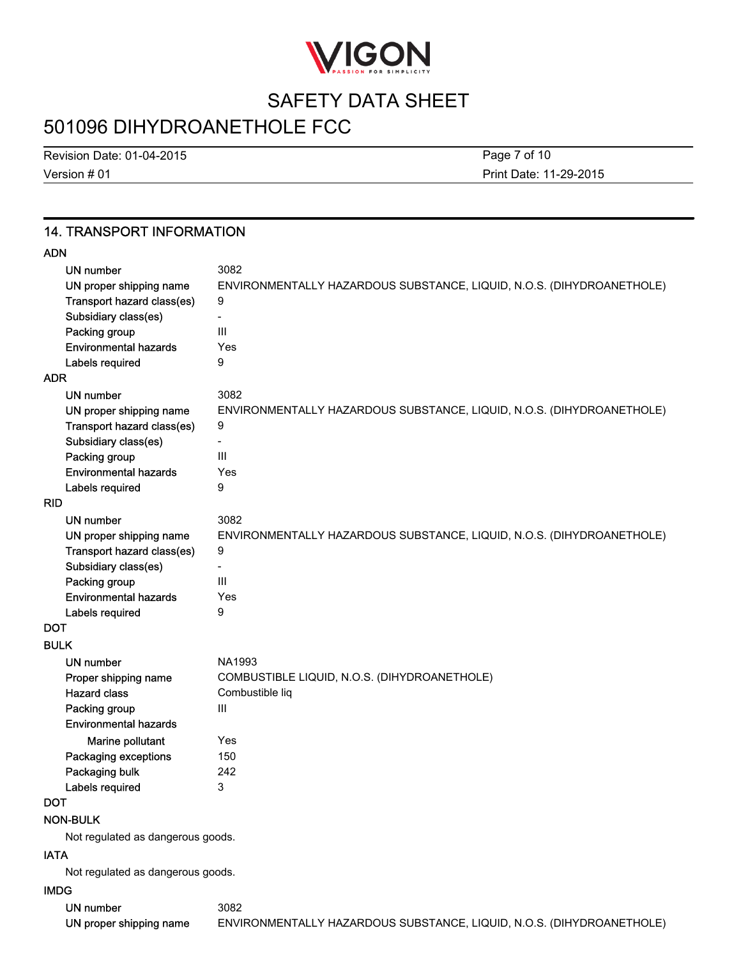

# 501096 DIHYDROANETHOLE FCC

Version # 01 Revision Date: 01-04-2015 Page 7 of 10

Print Date: 11-29-2015

### 14. TRANSPORT INFORMATION

| ۰. |
|----|
|----|

| UN number                             | 3082                                                                  |
|---------------------------------------|-----------------------------------------------------------------------|
| UN proper shipping name               | ENVIRONMENTALLY HAZARDOUS SUBSTANCE, LIQUID, N.O.S. (DIHYDROANETHOLE) |
| Transport hazard class(es)            | 9                                                                     |
| Subsidiary class(es)                  | $\overline{\phantom{0}}$                                              |
| Packing group                         | $\mathsf{III}$                                                        |
| <b>Environmental hazards</b>          | Yes                                                                   |
| Labels required                       | 9                                                                     |
| <b>ADR</b>                            |                                                                       |
| <b>UN number</b>                      | 3082                                                                  |
| UN proper shipping name               | ENVIRONMENTALLY HAZARDOUS SUBSTANCE, LIQUID, N.O.S. (DIHYDROANETHOLE) |
| Transport hazard class(es)            | 9                                                                     |
| Subsidiary class(es)                  | $\overline{\phantom{0}}$                                              |
| Packing group                         | III                                                                   |
| <b>Environmental hazards</b>          | Yes                                                                   |
| Labels required                       | 9                                                                     |
| <b>RID</b>                            |                                                                       |
| <b>UN number</b>                      | 3082                                                                  |
| UN proper shipping name               | ENVIRONMENTALLY HAZARDOUS SUBSTANCE, LIQUID, N.O.S. (DIHYDROANETHOLE) |
| Transport hazard class(es)            | 9                                                                     |
| Subsidiary class(es)<br>Packing group | III                                                                   |
| <b>Environmental hazards</b>          | Yes                                                                   |
| Labels required                       | 9                                                                     |
| DOT                                   |                                                                       |
| <b>BULK</b>                           |                                                                       |
| UN number                             | NA1993                                                                |
| Proper shipping name                  | COMBUSTIBLE LIQUID, N.O.S. (DIHYDROANETHOLE)                          |
| <b>Hazard class</b>                   | Combustible liq                                                       |
| Packing group                         | Ш                                                                     |
| <b>Environmental hazards</b>          |                                                                       |
| Marine pollutant                      | Yes                                                                   |
| Packaging exceptions                  | 150                                                                   |
| Packaging bulk                        | 242                                                                   |
| Labels required                       | 3                                                                     |
| DOT                                   |                                                                       |
| <b>NON-BULK</b>                       |                                                                       |
| Not regulated as dangerous goods.     |                                                                       |
| <b>IATA</b>                           |                                                                       |
| Not regulated as dangerous goods.     |                                                                       |
| <b>IMDG</b>                           |                                                                       |
| <b>UN number</b>                      | 3082                                                                  |
| UN proper shipping name               | ENVIRONMENTALLY HAZARDOUS SUBSTANCE, LIQUID, N.O.S. (DIHYDROANETHOLE) |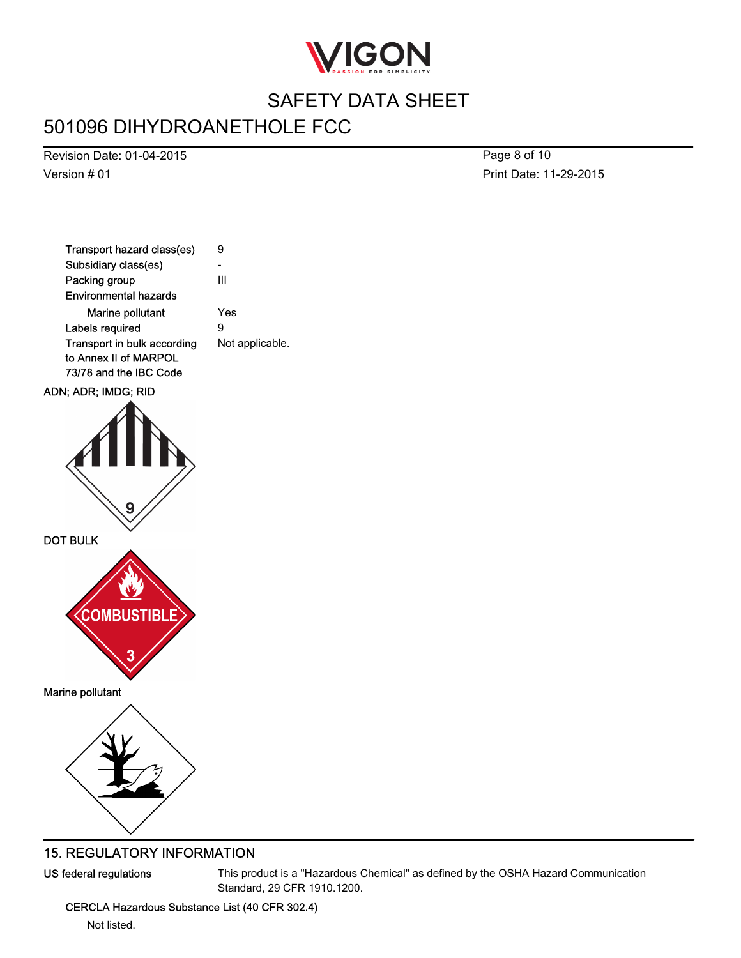

# 501096 DIHYDROANETHOLE FCC

Version # 01 Revision Date: 01-04-2015 Print Date: 11-29-2015 Page 8 of 10



### 15. REGULATORY INFORMATION

US federal regulations This product is a "Hazardous Chemical" as defined by the OSHA Hazard Communication Standard, 29 CFR 1910.1200.

CERCLA Hazardous Substance List (40 CFR 302.4)

Not listed.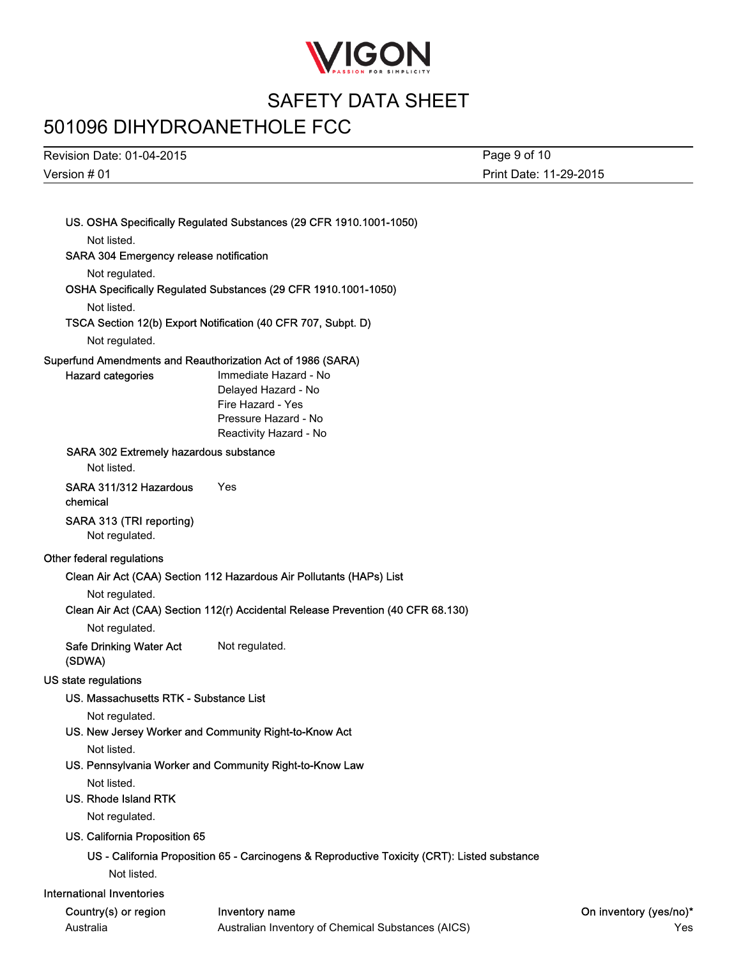

# 501096 DIHYDROANETHOLE FCC

Revision Date: 01-04-2015

Page 9 of 10

Version # 01 Print Date: 11-29-2015 US. OSHA Specifically Regulated Substances (29 CFR 1910.1001-1050) Not listed. SARA 304 Emergency release notification Not regulated. OSHA Specifically Regulated Substances (29 CFR 1910.1001-1050) Not listed. TSCA Section 12(b) Export Notification (40 CFR 707, Subpt. D) Not regulated. Superfund Amendments and Reauthorization Act of 1986 (SARA) Hazard categories **Immediate Hazard - No** Delayed Hazard - No Fire Hazard - Yes Pressure Hazard - No Reactivity Hazard - No SARA 302 Extremely hazardous substance Not listed. SARA 311/312 Hazardous chemical Yes SARA 313 (TRI reporting) Not regulated. Other federal regulations Clean Air Act (CAA) Section 112 Hazardous Air Pollutants (HAPs) List Not regulated. Clean Air Act (CAA) Section 112(r) Accidental Release Prevention (40 CFR 68.130) Not regulated. Safe Drinking Water Act (SDWA) Not regulated. US state regulations US. Massachusetts RTK - Substance List Not regulated. US. New Jersey Worker and Community Right-to-Know Act Not listed. US. Pennsylvania Worker and Community Right-to-Know Law Not listed. US. Rhode Island RTK Not regulated. US. California Proposition 65 US - California Proposition 65 - Carcinogens & Reproductive Toxicity (CRT): Listed substance Not listed. International Inventories Country(s) or region Inventory name **Inventory name** Country(yes/no)\* Australia Australian Inventory of Chemical Substances (AICS) Yes